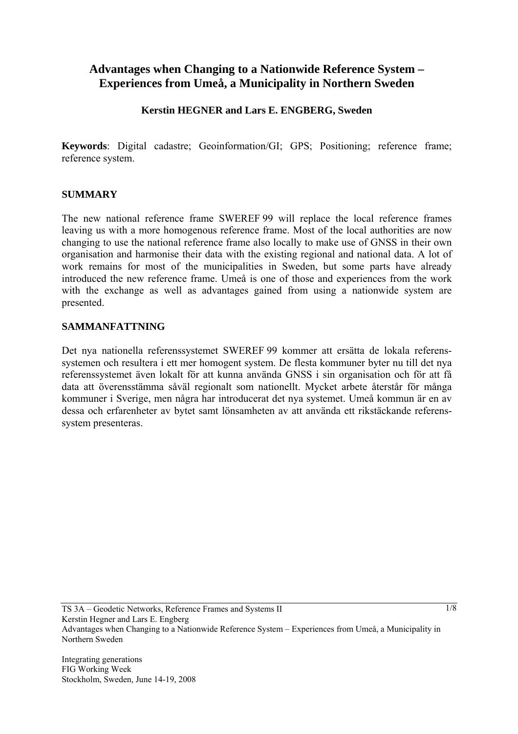# **Advantages when Changing to a Nationwide Reference System – Experiences from Umeå, a Municipality in Northern Sweden**

### **Kerstin HEGNER and Lars E. ENGBERG, Sweden**

**Keywords**: Digital cadastre; Geoinformation/GI; GPS; Positioning; reference frame; reference system.

#### **SUMMARY**

The new national reference frame SWEREF 99 will replace the local reference frames leaving us with a more homogenous reference frame. Most of the local authorities are now changing to use the national reference frame also locally to make use of GNSS in their own organisation and harmonise their data with the existing regional and national data. A lot of work remains for most of the municipalities in Sweden, but some parts have already introduced the new reference frame. Umeå is one of those and experiences from the work with the exchange as well as advantages gained from using a nationwide system are presented.

#### **SAMMANFATTNING**

Det nya nationella referenssystemet SWEREF 99 kommer att ersätta de lokala referenssystemen och resultera i ett mer homogent system. De flesta kommuner byter nu till det nya referenssystemet även lokalt för att kunna använda GNSS i sin organisation och för att få data att överensstämma såväl regionalt som nationellt. Mycket arbete återstår för många kommuner i Sverige, men några har introducerat det nya systemet. Umeå kommun är en av dessa och erfarenheter av bytet samt lönsamheten av att använda ett rikstäckande referenssystem presenteras.

TS 3A – Geodetic Networks, Reference Frames and Systems II Kerstin Hegner and Lars E. Engberg Advantages when Changing to a Nationwide Reference System – Experiences from Umeå, a Municipality in Northern Sweden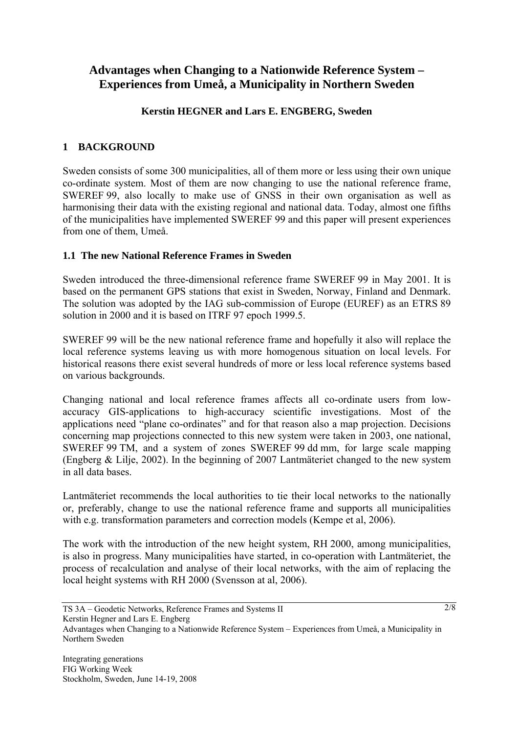# **Advantages when Changing to a Nationwide Reference System – Experiences from Umeå, a Municipality in Northern Sweden**

# **Kerstin HEGNER and Lars E. ENGBERG, Sweden**

# **1 BACKGROUND**

Sweden consists of some 300 municipalities, all of them more or less using their own unique co-ordinate system. Most of them are now changing to use the national reference frame, SWEREF 99, also locally to make use of GNSS in their own organisation as well as harmonising their data with the existing regional and national data. Today, almost one fifths of the municipalities have implemented SWEREF 99 and this paper will present experiences from one of them, Umeå.

### **1.1 The new National Reference Frames in Sweden**

Sweden introduced the three-dimensional reference frame SWEREF 99 in May 2001. It is based on the permanent GPS stations that exist in Sweden, Norway, Finland and Denmark. The solution was adopted by the IAG sub-commission of Europe (EUREF) as an ETRS 89 solution in 2000 and it is based on ITRF 97 epoch 1999.5.

SWEREF 99 will be the new national reference frame and hopefully it also will replace the local reference systems leaving us with more homogenous situation on local levels. For historical reasons there exist several hundreds of more or less local reference systems based on various backgrounds.

Changing national and local reference frames affects all co-ordinate users from lowaccuracy GIS-applications to high-accuracy scientific investigations. Most of the applications need "plane co-ordinates" and for that reason also a map projection. Decisions concerning map projections connected to this new system were taken in 2003, one national, SWEREF 99 TM, and a system of zones SWEREF 99 dd mm, for large scale mapping (Engberg & Lilje, 2002). In the beginning of 2007 Lantmäteriet changed to the new system in all data bases.

Lantmäteriet recommends the local authorities to tie their local networks to the nationally or, preferably, change to use the national reference frame and supports all municipalities with e.g. transformation parameters and correction models (Kempe et al, 2006).

The work with the introduction of the new height system, RH 2000, among municipalities, is also in progress. Many municipalities have started, in co-operation with Lantmäteriet, the process of recalculation and analyse of their local networks, with the aim of replacing the local height systems with RH 2000 (Svensson at al, 2006).

TS 3A – Geodetic Networks, Reference Frames and Systems II Kerstin Hegner and Lars E. Engberg Advantages when Changing to a Nationwide Reference System – Experiences from Umeå, a Municipality in Northern Sweden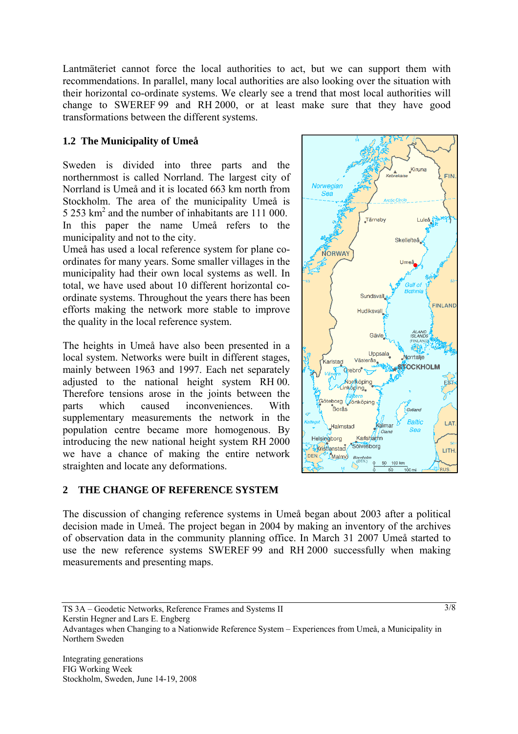Lantmäteriet cannot force the local authorities to act, but we can support them with recommendations. In parallel, many local authorities are also looking over the situation with their horizontal co-ordinate systems. We clearly see a trend that most local authorities will change to SWEREF 99 and RH 2000, or at least make sure that they have good transformations between the different systems.

# **1.2 The Municipality of Umeå**

Sweden is divided into three parts and the northernmost is called Norrland. The largest city of Norrland is Umeå and it is located 663 km north from Stockholm. The area of the municipality Umeå is 5 253 km2 and the number of inhabitants are 111 000. In this paper the name Umeå refers to the municipality and not to the city.

Umeå has used a local reference system for plane coordinates for many years. Some smaller villages in the municipality had their own local systems as well. In total, we have used about 10 different horizontal coordinate systems. Throughout the years there has been efforts making the network more stable to improve the quality in the local reference system.

The heights in Umeå have also been presented in a local system. Networks were built in different stages, mainly between 1963 and 1997. Each net separately adjusted to the national height system RH 00. Therefore tensions arose in the joints between the parts which caused inconveniences. With supplementary measurements the network in the population centre became more homogenous. By introducing the new national height system RH 2000 we have a chance of making the entire network straighten and locate any deformations.

### **2 THE CHANGE OF REFERENCE SYSTEM**



TS 3A – Geodetic Networks, Reference Frames and Systems II

Kerstin Hegner and Lars E. Engberg

Advantages when Changing to a Nationwide Reference System – Experiences from Umeå, a Municipality in Northern Sweden

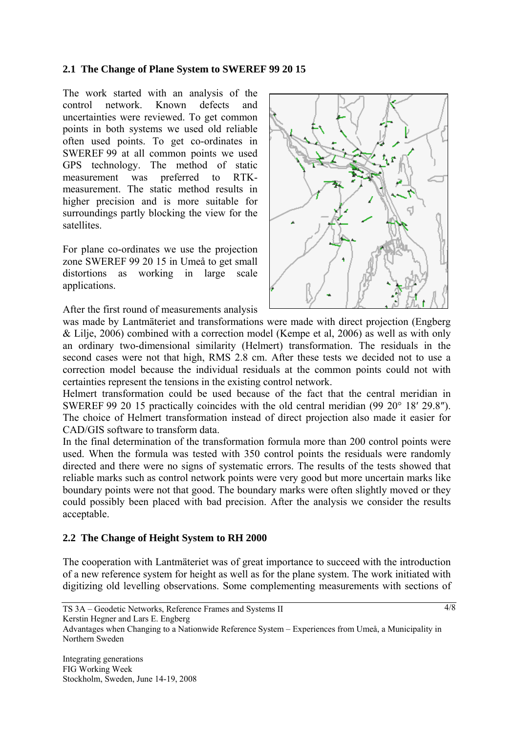#### **2.1 The Change of Plane System to SWEREF 99 20 15**

The work started with an analysis of the control network. Known defects and uncertainties were reviewed. To get common points in both systems we used old reliable often used points. To get co-ordinates in SWEREF 99 at all common points we used GPS technology. The method of static measurement was preferred to RTKmeasurement. The static method results in higher precision and is more suitable for surroundings partly blocking the view for the satellites.

For plane co-ordinates we use the projection zone SWEREF 99 20 15 in Umeå to get small distortions as working in large scale applications.

After the first round of measurements analysis



was made by Lantmäteriet and transformations were made with direct projection (Engberg & Lilje, 2006) combined with a correction model (Kempe et al, 2006) as well as with only an ordinary two-dimensional similarity (Helmert) transformation. The residuals in the second cases were not that high, RMS 2.8 cm. After these tests we decided not to use a correction model because the individual residuals at the common points could not with certainties represent the tensions in the existing control network.

Helmert transformation could be used because of the fact that the central meridian in SWEREF 99 20 15 practically coincides with the old central meridian (99 20° 18′ 29.8″). The choice of Helmert transformation instead of direct projection also made it easier for CAD/GIS software to transform data.

In the final determination of the transformation formula more than 200 control points were used. When the formula was tested with 350 control points the residuals were randomly directed and there were no signs of systematic errors. The results of the tests showed that reliable marks such as control network points were very good but more uncertain marks like boundary points were not that good. The boundary marks were often slightly moved or they could possibly been placed with bad precision. After the analysis we consider the results acceptable.

### **2.2 The Change of Height System to RH 2000**

The cooperation with Lantmäteriet was of great importance to succeed with the introduction of a new reference system for height as well as for the plane system. The work initiated with digitizing old levelling observations. Some complementing measurements with sections of

Advantages when Changing to a Nationwide Reference System – Experiences from Umeå, a Municipality in Northern Sweden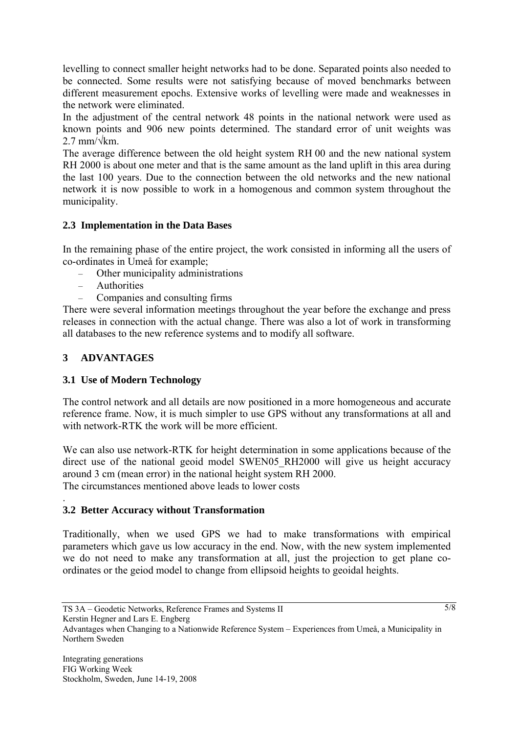levelling to connect smaller height networks had to be done. Separated points also needed to be connected. Some results were not satisfying because of moved benchmarks between different measurement epochs. Extensive works of levelling were made and weaknesses in the network were eliminated.

In the adjustment of the central network 48 points in the national network were used as known points and 906 new points determined. The standard error of unit weights was  $2.7$  mm/ $\sqrt{k}$ m.

The average difference between the old height system RH 00 and the new national system RH 2000 is about one meter and that is the same amount as the land uplift in this area during the last 100 years. Due to the connection between the old networks and the new national network it is now possible to work in a homogenous and common system throughout the municipality.

#### **2.3 Implementation in the Data Bases**

In the remaining phase of the entire project, the work consisted in informing all the users of co-ordinates in Umeå for example;

- Other municipality administrations
- Authorities
- Companies and consulting firms

There were several information meetings throughout the year before the exchange and press releases in connection with the actual change. There was also a lot of work in transforming all databases to the new reference systems and to modify all software.

### **3 ADVANTAGES**

.

### **3.1 Use of Modern Technology**

The control network and all details are now positioned in a more homogeneous and accurate reference frame. Now, it is much simpler to use GPS without any transformations at all and with network-RTK the work will be more efficient.

We can also use network-RTK for height determination in some applications because of the direct use of the national geoid model SWEN05 RH2000 will give us height accuracy around 3 cm (mean error) in the national height system RH 2000. The circumstances mentioned above leads to lower costs

### **3.2 Better Accuracy without Transformation**

Traditionally, when we used GPS we had to make transformations with empirical parameters which gave us low accuracy in the end. Now, with the new system implemented we do not need to make any transformation at all, just the projection to get plane coordinates or the geiod model to change from ellipsoid heights to geoidal heights.

Advantages when Changing to a Nationwide Reference System – Experiences from Umeå, a Municipality in Northern Sweden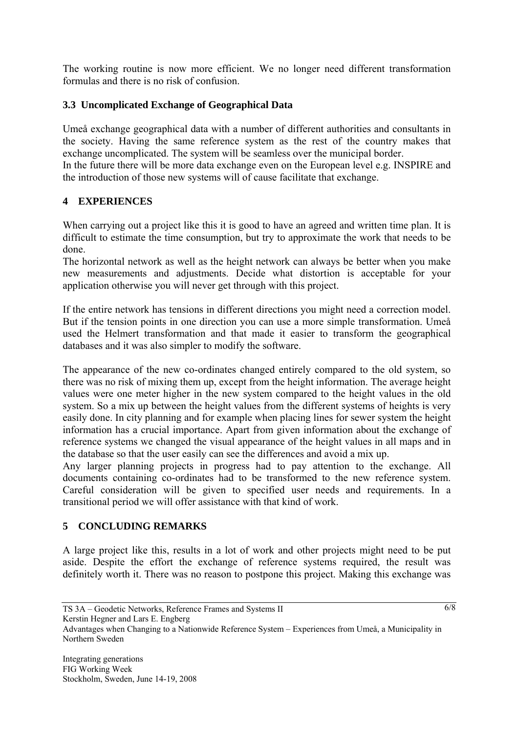The working routine is now more efficient. We no longer need different transformation formulas and there is no risk of confusion.

### **3.3 Uncomplicated Exchange of Geographical Data**

Umeå exchange geographical data with a number of different authorities and consultants in the society. Having the same reference system as the rest of the country makes that exchange uncomplicated. The system will be seamless over the municipal border. In the future there will be more data exchange even on the European level e.g. INSPIRE and the introduction of those new systems will of cause facilitate that exchange.

### **4 EXPERIENCES**

When carrying out a project like this it is good to have an agreed and written time plan. It is difficult to estimate the time consumption, but try to approximate the work that needs to be done.

The horizontal network as well as the height network can always be better when you make new measurements and adjustments. Decide what distortion is acceptable for your application otherwise you will never get through with this project.

If the entire network has tensions in different directions you might need a correction model. But if the tension points in one direction you can use a more simple transformation. Umeå used the Helmert transformation and that made it easier to transform the geographical databases and it was also simpler to modify the software.

The appearance of the new co-ordinates changed entirely compared to the old system, so there was no risk of mixing them up, except from the height information. The average height values were one meter higher in the new system compared to the height values in the old system. So a mix up between the height values from the different systems of heights is very easily done. In city planning and for example when placing lines for sewer system the height information has a crucial importance. Apart from given information about the exchange of reference systems we changed the visual appearance of the height values in all maps and in the database so that the user easily can see the differences and avoid a mix up.

Any larger planning projects in progress had to pay attention to the exchange. All documents containing co-ordinates had to be transformed to the new reference system. Careful consideration will be given to specified user needs and requirements. In a transitional period we will offer assistance with that kind of work.

# **5 CONCLUDING REMARKS**

A large project like this, results in a lot of work and other projects might need to be put aside. Despite the effort the exchange of reference systems required, the result was definitely worth it. There was no reason to postpone this project. Making this exchange was

Advantages when Changing to a Nationwide Reference System – Experiences from Umeå, a Municipality in Northern Sweden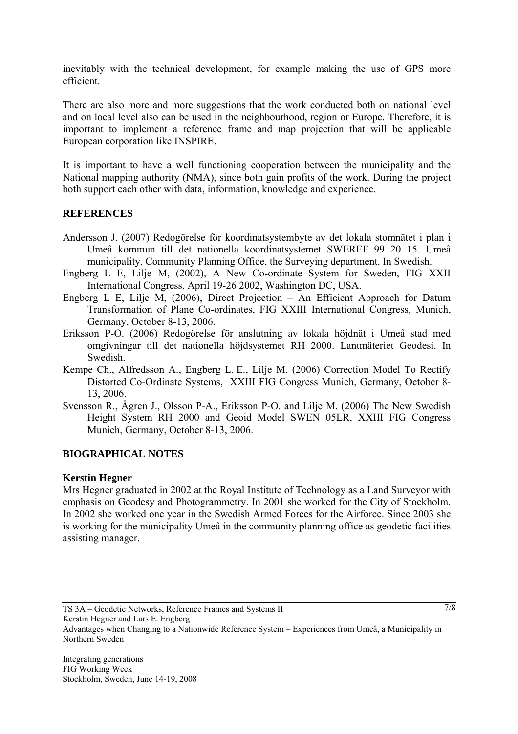inevitably with the technical development, for example making the use of GPS more efficient.

There are also more and more suggestions that the work conducted both on national level and on local level also can be used in the neighbourhood, region or Europe. Therefore, it is important to implement a reference frame and map projection that will be applicable European corporation like INSPIRE.

It is important to have a well functioning cooperation between the municipality and the National mapping authority (NMA), since both gain profits of the work. During the project both support each other with data, information, knowledge and experience.

#### **REFERENCES**

- Andersson J. (2007) Redogörelse för koordinatsystembyte av det lokala stomnätet i plan i Umeå kommun till det nationella koordinatsystemet SWEREF 99 20 15. Umeå municipality, Community Planning Office, the Surveying department. In Swedish.
- Engberg L E, Lilje M, (2002), A New Co-ordinate System for Sweden, FIG XXII International Congress, April 19-26 2002, Washington DC, USA.
- Engberg L E, Lilje M, (2006), Direct Projection An Efficient Approach for Datum Transformation of Plane Co-ordinates, FIG XXIII International Congress, Munich, Germany, October 8-13, 2006.
- Eriksson P-O. (2006) Redogörelse för anslutning av lokala höjdnät i Umeå stad med omgivningar till det nationella höjdsystemet RH 2000. Lantmäteriet Geodesi. In Swedish.
- Kempe Ch., Alfredsson A., Engberg L. E., Lilje M. (2006) Correction Model To Rectify Distorted Co-Ordinate Systems, XXIII FIG Congress Munich, Germany, October 8- 13, 2006.
- Svensson R., Ågren J., Olsson P-A., Eriksson P-O. and Lilje M. (2006) The New Swedish Height System RH 2000 and Geoid Model SWEN 05LR, XXIII FIG Congress Munich, Germany, October 8-13, 2006.

### **BIOGRAPHICAL NOTES**

#### **Kerstin Hegner**

Mrs Hegner graduated in 2002 at the Royal Institute of Technology as a Land Surveyor with emphasis on Geodesy and Photogrammetry. In 2001 she worked for the City of Stockholm. In 2002 she worked one year in the Swedish Armed Forces for the Airforce. Since 2003 she is working for the municipality Umeå in the community planning office as geodetic facilities assisting manager.

Kerstin Hegner and Lars E. Engberg

TS 3A – Geodetic Networks, Reference Frames and Systems II

Advantages when Changing to a Nationwide Reference System – Experiences from Umeå, a Municipality in Northern Sweden